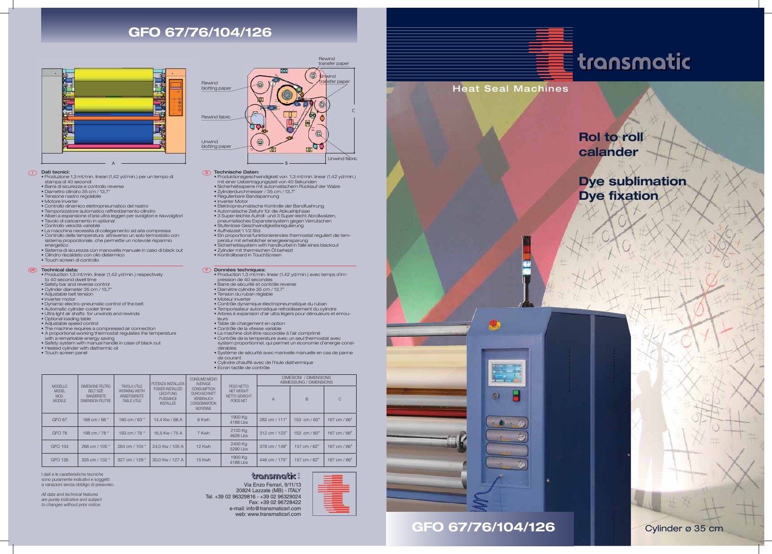Heat Seal Machines









## **Dye sublimation Dye fixation**

Cylinder ø 35 cm

## **GFO 67/76/104/126**



### **I D** Dati tecnici:

### **UK F** Technical data:

- Produzione 1,3 mt/min. lineari (1,42 yd/min.) per un tempo di stampa di 40 secondi
- Barra di sicurezza e controllo reverse
- Diametro cilindro 35 cm / 13,7"
- Tensione nastro regolabile Motore Inverter
- 
- Controllo dinamico elettropneumatico del nastro
- Temporizzatore automatico raffreddamento cilindro Alberi a espansione d'aria ultra leggeri per svolgitori e riavvolgitori
- 
- Tavolo di caricamento in optional
- Controllo velocità variabile
- La macchina necessita di collegamento ad aria compressa Controllo della temperatura attraverso un solo termostato con sistema proporzionale, che permette un notevole risparmio
- energetico • Sistema di sicurezza con manovella manuale in caso di black out
- Cilindro riscaldato con olio diatermico
- Touch screen di controllo

- Production 1,3 mt/min. linear (1,42 yd/min.) respectively
- to 40 second dwell time Safety bar and reverse control
- 
- Cylinder diameter 35 cm / 13,7"
- Adjustable belt tension
- Inverter motor
- Dynamic electro-pneumatic control of the belt
- Automatic cylinder cooler timer
- Ultra light air shafts for unwinds and rewinds
- 
- Optional loading table Adjustable speed control
- The machine requires a compressed air connection • A proportional working thermostat regulates the temperature
- with a remarkable energy saving Safety system with manual handle in case of black out Heated cylinder with diathermic oil
- 
- Touch screen panel
- Technische Daten:
- Produktionsgeschwindigkeit von 1,3 mt/min. linear (1,42 yd/min.) mit einer Uebertragungszeit von 40 Sekunden • Sicherheitssperre mit automatischem Rücklauf der Walze
- 
- Zylinderdurchmesser / 35 cm / 13,7"
- Regulierbare Bandspannung Inverter Motor
- 
- Elektropneumatische Kontrolle der Bandfuehrung Automatische Zeituhr für die Abkuehlphase 3 Super-leichte Aufroll- und 3 Super-leicht Abrollwalzen,
- 
- pneumatisches Expandersystem gegen Verrutschen
- Stufenlose Geschwindigkeitsregulierung • Aufheizzeit 1 1/2 Std.
- Ein proportional funktionierendes thermostat reguliert die tem-peratur mit erheblicher energieeinsparung Sicherheitssystem with handkurbel in falle eines blackout
- 
- Zylinder mit thermischen Öl beheizt
- Kontrollboard in TouchScreen

- **Données techniques:**<br>• Production 1,3 mt/min. linear (1,42 yd/min.) avec temps d'im-
- pression de 40 secondes Barre de sécurité et contrôle reverse
- Diamètre cylindre 35 cm / 13,7"
- Tension du ruban réglable
- Moteur Inverter
- 
- 
- Arbres à expansion d'air ultra légers pour dérouleurs et enrou-
- 
- 
- Contrôle de la temperature avec un seul thermostat avec system proportionnel, qui permet un economie d'energie consi-
- dérables
- de courant
- Cylindre chauffé avec de l'hiule diathermique Ecran tactile de contrôle
- DIMESIONI / DIMENSIONS **CONSUMINATION**

## • Contrôle dynamique électropneumatique du ruban • Temporisateur automatique refroidissement du cylindre

- leurs Table de chargement en option
- 
- Contrôle de la vitesse variable La machine doit être raccordée à l'air comprimé
- 
- Système de sécurité avec manivelle manuelle en cas de panne
- 
- 



Rewind

Via Enzo Ferrari, 9/11/13 20824 Lazzate (MB) - ITALY Tel. +39 02 96329816 - +39 02 96329024 Fax: +39 02 96728422 e-mail: info@transmaticsrl.com web: www.transmaticsrl.com





transfer paper transf  $\circledcirc$ nwind **th**sfer pape **Rewind** blotting pap C **Rewind fabric** от Unwind 6 blotting pape O Unwind fabric A B

|  | <b>MODELLO</b><br><b>MODEL</b><br>MOD.<br><b>MODELE</b> | <b>DIMESIONE FELTRO</b><br><b>BELT SIZE</b><br><b>BANDBREITE</b><br><b>DIMENSION FEUTRE</b> | <b>TAVOLA UTILE</b><br><b>WORKING WIDTH</b><br><b>ARBEITSBREITE</b><br>TABLE UTILE | I POTENZA INSTALLATA I<br>POWER INSTALLED<br><b>LEICHTUNG</b><br><b>PUISSANCE</b><br><b>INSTALLEE</b> | <b>UUINJUIVIU IVIEDIU</b><br><b>AVERAGE</b><br><b>CONSUMPTION</b><br><b>DURCHSCHNITT</b><br><b>VERBRAUCH</b><br><b>CONSOMMATION</b><br><b>MOYENNE</b> | PESO NETTO<br><b>NET WEIGHT</b><br>NETTO GEWICHT<br>POIDS NET | ABMESSUNG / DIMENSIONS |                |              |
|--|---------------------------------------------------------|---------------------------------------------------------------------------------------------|------------------------------------------------------------------------------------|-------------------------------------------------------------------------------------------------------|-------------------------------------------------------------------------------------------------------------------------------------------------------|---------------------------------------------------------------|------------------------|----------------|--------------|
|  |                                                         |                                                                                             |                                                                                    |                                                                                                       |                                                                                                                                                       |                                                               | A                      | B              | C            |
|  | GFO <sub>67</sub>                                       | 168 cm / 66 "                                                                               | 160 cm / 63 "                                                                      | 14.4 Kw / 66 A                                                                                        | 6 Kwh                                                                                                                                                 | 1900 Kg<br>4188 Lbs                                           | 282 cm / 111"          | 153 cm / 60"   | 167 cm / 66" |
|  | GFO <sub>76</sub>                                       | 198 cm / 78 "                                                                               | 193 cm / 76 "                                                                      | 16.5 Kw / 75 A                                                                                        | 7 Kwh                                                                                                                                                 | 2100 Kg<br>4628 Lbs                                           | 312 cm / 123"          | 153 cm / 60"   | 167 cm / 66" |
|  | GFO 104                                                 | 268 cm / 105 "                                                                              | 264 cm / 104 "                                                                     | 24.0 Kw / 105 A                                                                                       | 12 Kwh                                                                                                                                                | 2400 Kg<br>5290 Lbs                                           | 378 cm / 149"          | 157 cm $/$ 62" | 167 cm / 66" |
|  | GFO 126                                                 | 335 cm / 132 "                                                                              | 327 cm / 129 "                                                                     | 30.0 Kw / 127 A                                                                                       | 15 Kwh                                                                                                                                                | 1900 Kg<br>4188 Lbs                                           | 446 cm / 175"          | 157 cm / 62"   | 167 cm / 66" |

I dati e le caratteristiche tecniche sono puramente indicativi e soggetti a variazioni senza obbligo di preavviso

All data and technical features are purely indicative and subject *to changes without prior notice.* 

### transmatic:

## **GFO 67/76/104/126**